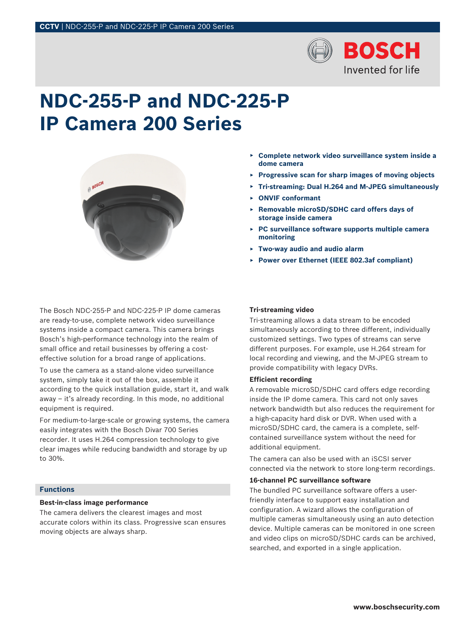

# **NDC-255-P and NDC-225-P IP Camera 200 Series**



- ▶ **Complete network video surveillance system inside a dome camera**
- ▶ **Progressive scan for sharp images of moving objects**
- ▶ **Tri-streaming: Dual H.264 and M-JPEG simultaneously**
- ▶ **ONVIF conformant**
- ▶ **Removable microSD/SDHC card offers days of storage inside camera**
- ▶ **PC surveillance software supports multiple camera monitoring**
- ▶ **Two-way audio and audio alarm**
- ▶ **Power over Ethernet (IEEE 802.3af compliant)**

The Bosch NDC-255-P and NDC-225-P IP dome cameras are ready-to-use, complete network video surveillance systems inside a compact camera. This camera brings Bosch's high-performance technology into the realm of small office and retail businesses by offering a costeffective solution for a broad range of applications.

To use the camera as a stand-alone video surveillance system, simply take it out of the box, assemble it according to the quick installation guide, start it, and walk away – it's already recording. In this mode, no additional equipment is required.

For medium-to-large-scale or growing systems, the camera easily integrates with the Bosch Divar 700 Series recorder. It uses H.264 compression technology to give clear images while reducing bandwidth and storage by up to 30%.

# **Functions**

#### **Best-in-class image performance**

The camera delivers the clearest images and most accurate colors within its class. Progressive scan ensures moving objects are always sharp.

#### **Tri-streaming video**

Tri-streaming allows a data stream to be encoded simultaneously according to three different, individually customized settings. Two types of streams can serve different purposes. For example, use H.264 stream for local recording and viewing, and the M-JPEG stream to provide compatibility with legacy DVRs.

# **Efficient recording**

A removable microSD/SDHC card offers edge recording inside the IP dome camera. This card not only saves network bandwidth but also reduces the requirement for a high-capacity hard disk or DVR. When used with a microSD/SDHC card, the camera is a complete, selfcontained surveillance system without the need for additional equipment.

The camera can also be used with an iSCSI server connected via the network to store long-term recordings.

#### **16-channel PC surveillance software**

The bundled PC surveillance software offers a userfriendly interface to support easy installation and configuration. A wizard allows the configuration of multiple cameras simultaneously using an auto detection device. Multiple cameras can be monitored in one screen and video clips on microSD/SDHC cards can be archived, searched, and exported in a single application.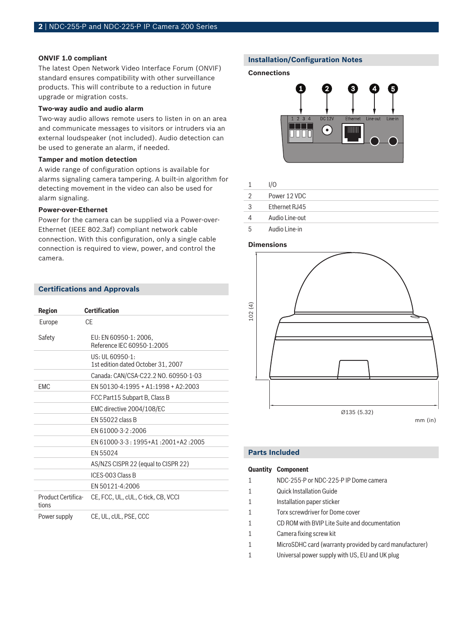#### **ONVIF 1.0 compliant**

The latest Open Network Video Interface Forum (ONVIF) standard ensures compatibility with other surveillance products. This will contribute to a reduction in future upgrade or migration costs.

# **Two-way audio and audio alarm**

Two-way audio allows remote users to listen in on an area and communicate messages to visitors or intruders via an external loudspeaker (not included). Audio detection can be used to generate an alarm, if needed.

#### **Tamper and motion detection**

A wide range of configuration options is available for alarms signaling camera tampering. A built-in algorithm for detecting movement in the video can also be used for alarm signaling.

### **Power-over-Ethernet**

Power for the camera can be supplied via a Power-over-Ethernet (IEEE 802.3af) compliant network cable connection. With this configuration, only a single cable connection is required to view, power, and control the camera.

#### **Certifications and Approvals**

| <b>Region</b>               | <b>Certification</b>                                    |
|-----------------------------|---------------------------------------------------------|
| Europe                      | CF                                                      |
| Safety                      | EU: EN 60950-1: 2006.<br>Reference IFC 60950-1:2005     |
|                             | $US: U1 60950-1:$<br>1st edition dated October 31, 2007 |
|                             | Canada: CAN/CSA-C22.2 NO. 60950-1-03                    |
| <b>FMC</b>                  | $FN 50130 - 4.1995 + A1.1998 + A2.2003$                 |
|                             | FCC Part15 Subpart B, Class B                           |
|                             | EMC directive 2004/108/EC                               |
|                             | EN 55022 class B                                        |
|                             | FN 61000-3-2:2006                                       |
|                             | EN 61000-3-3 · 1995+A1 · 2001+A2 · 2005                 |
|                             | FN 55024                                                |
|                             | AS/NZS CISPR 22 (equal to CISPR 22)                     |
|                             | ICES-003 Class B                                        |
|                             | FN 50121-4:2006                                         |
| Product Certifica-<br>tions | CE. FCC. UL. cUL. C-tick. CB. VCCI                      |
| Power supply                | CE. UL. cUL. PSE. CCC                                   |

#### **Installation/Configuration Notes**

#### **Connections**



| 1 |              |
|---|--------------|
| 2 | Power 12 VDC |
|   |              |

- 3 Ethernet RJ45 4 Audio Line-out
- 
- 5 Audio Line-in





#### **Parts Included**

# **Quantity Component**

1 Quick Installation Guide

- 1 **Installation paper sticker**
- 1 Torx screwdriver for Dome cover
- 1 CD ROM with BVIP Lite Suite and documentation
- 1 Camera fixing screw kit
- 1 MicroSDHC card (warranty provided by card manufacturer)
- 1 Universal power supply with US, EU and UK plug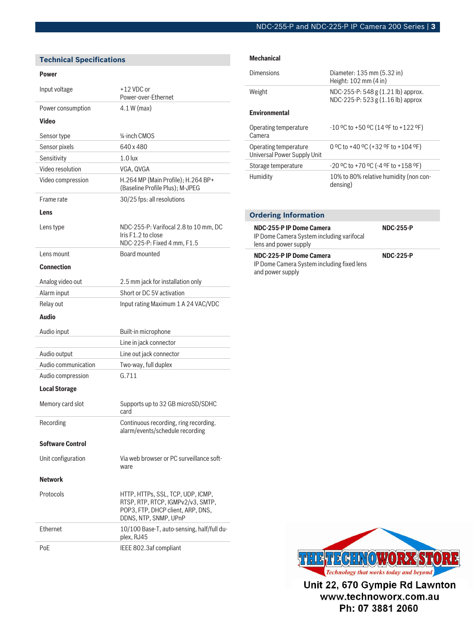| <b>Technical Specifications</b> |                                                                                                                                      |
|---------------------------------|--------------------------------------------------------------------------------------------------------------------------------------|
| <b>Power</b>                    |                                                                                                                                      |
| Input voltage                   | $+12$ VDC or<br>Power-over-Ethernet                                                                                                  |
| Power consumption               | 4.1 W (max)                                                                                                                          |
| Video                           |                                                                                                                                      |
| Sensor type                     | 1/ <sub>4</sub> -inch CMOS                                                                                                           |
| Sensor pixels                   | 640 x 480                                                                                                                            |
| Sensitivity                     | $1.0$ lux                                                                                                                            |
| Video resolution                | VGA, QVGA                                                                                                                            |
| Video compression               | H.264 MP (Main Profile); H.264 BP+<br>(Baseline Profile Plus); M-JPEG                                                                |
| Frame rate                      | 30/25 fps: all resolutions                                                                                                           |
| Lens                            |                                                                                                                                      |
| Lens type                       | NDC-255-P: Varifocal 2.8 to 10 mm, DC<br>Iris F1.2 to close<br>NDC-225-P: Fixed 4 mm, F1.5                                           |
| Lens mount                      | Board mounted                                                                                                                        |
| <b>Connection</b>               |                                                                                                                                      |
| Analog video out                | 2.5 mm jack for installation only                                                                                                    |
| Alarm input                     | Short or DC 5V activation                                                                                                            |
| Relay out                       | Input rating Maximum 1 A 24 VAC/VDC                                                                                                  |
| <b>Audio</b>                    |                                                                                                                                      |
| Audio input                     | Built-in microphone                                                                                                                  |
|                                 | Line in jack connector                                                                                                               |
| Audio output                    | Line out jack connector                                                                                                              |
| Audio communication             | Two-way, full duplex                                                                                                                 |
| Audio compression               | G.711                                                                                                                                |
| <b>Local Storage</b>            |                                                                                                                                      |
| Memory card slot                | Supports up to 32 GB microSD/SDHC<br>card                                                                                            |
| Recording                       | Continuous recording, ring recording.<br>alarm/events/schedule recording                                                             |
| <b>Software Control</b>         |                                                                                                                                      |
| Unit configuration              | Via web browser or PC surveillance soft-<br>ware                                                                                     |
| <b>Network</b>                  |                                                                                                                                      |
| Protocols                       | HTTP, HTTPs, SSL, TCP, UDP, ICMP,<br>RTSP, RTP, RTCP, IGMPv2/v3, SMTP,<br>POP3, FTP, DHCP client, ARP, DNS,<br>DDNS, NTP, SNMP, UPnP |
| Ethernet                        | 10/100 Base-T, auto-sensing, half/full du-<br>plex, RJ45                                                                             |
| PoE                             | IEEE 802.3af compliant                                                                                                               |

|  | <b>Mechanical</b> |  |
|--|-------------------|--|
|  |                   |  |

| Dimensions                                           | Diameter: 135 mm (5.32 in)<br>Height: $102 \text{ mm}$ (4 in)           |
|------------------------------------------------------|-------------------------------------------------------------------------|
| Weight                                               | NDC-255-P: 548 g (1.21 lb) approx.<br>NDC-225-P: 523 g (1.16 lb) approx |
| <b>Environmental</b>                                 |                                                                         |
| Operating temperature<br>Camera                      | $-10$ °C to +50 °C (14 °F to +122 °F)                                   |
| Operating temperature<br>Universal Power Supply Unit | 0 °C to +40 °C (+32 °F to +104 °F)                                      |
| Storage temperature                                  | $-20$ °C to +70 °C (-4 °F to +158 °F)                                   |
| Humidity                                             | 10% to 80% relative humidity (non con-<br>densing)                      |

# **Ordering Information**

| <b>NDC-255-PIP Dome Camera</b>             | <b>NDC-255-P</b> |  |
|--------------------------------------------|------------------|--|
| IP Dome Camera System including varifocal  |                  |  |
| lens and power supply                      |                  |  |
|                                            |                  |  |
| <b>NDC-225-PIP Dome Camera</b>             | <b>NDC-225-P</b> |  |
| IP Dome Camera System including fixed lens |                  |  |



Unit 22, 670 Gympie Rd Lawnton www.technoworx.com.au Ph: 07 3881 2060